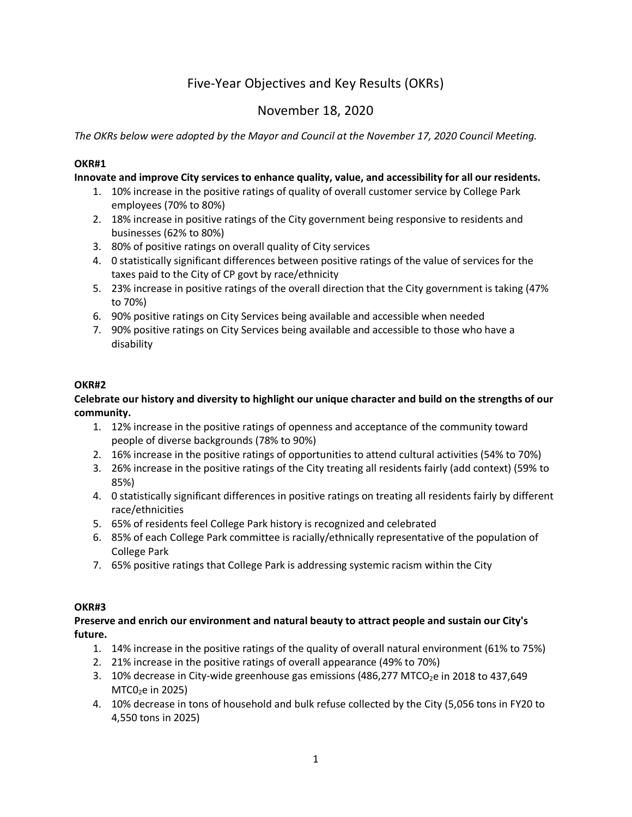# Five-Year Objectives and Key Results (OKRs)

## November 18, 2020

*The OKRs below were adopted by the Mayor and Council at the November 17, 2020 Council Meeting.*

## **OKR#1**

## **Innovate and improve City services to enhance quality, value, and accessibility for all our residents.**

- 1. 10% increase in the positive ratings of quality of overall customer service by College Park employees (70% to 80%)
- 2. 18% increase in positive ratings of the City government being responsive to residents and businesses (62% to 80%)
- 3. 80% of positive ratings on overall quality of City services
- 4. 0 statistically significant differences between positive ratings of the value of services for the taxes paid to the City of CP govt by race/ethnicity
- 5. 23% increase in positive ratings of the overall direction that the City government is taking (47% to 70%)
- 6. 90% positive ratings on City Services being available and accessible when needed
- 7. 90% positive ratings on City Services being available and accessible to those who have a disability

## **OKR#2**

## **Celebrate our history and diversity to highlight our unique character and build on the strengths of our community.**

- 1. 12% increase in the positive ratings of openness and acceptance of the community toward people of diverse backgrounds (78% to 90%)
- 2. 16% increase in the positive ratings of opportunities to attend cultural activities (54% to 70%)
- 3. 26% increase in the positive ratings of the City treating all residents fairly (add context) (59% to 85%)
- 4. 0 statistically significant differences in positive ratings on treating all residents fairly by different race/ethnicities
- 5. 65% of residents feel College Park history is recognized and celebrated
- 6. 85% of each College Park committee is racially/ethnically representative of the population of College Park
- 7. 65% positive ratings that College Park is addressing systemic racism within the City

#### **OKR#3**

## **Preserve and enrich our environment and natural beauty to attract people and sustain our City's future.**

- 1. 14% increase in the positive ratings of the quality of overall natural environment (61% to 75%)
- 2. 21% increase in the positive ratings of overall appearance (49% to 70%)
- 3. 10% decrease in City-wide greenhouse gas emissions (486,277 MTCO<sub>2</sub>e in 2018 to 437,649  $MTCO<sub>2</sub>e$  in 2025)
- 4. 10% decrease in tons of household and bulk refuse collected by the City (5,056 tons in FY20 to 4,550 tons in 2025)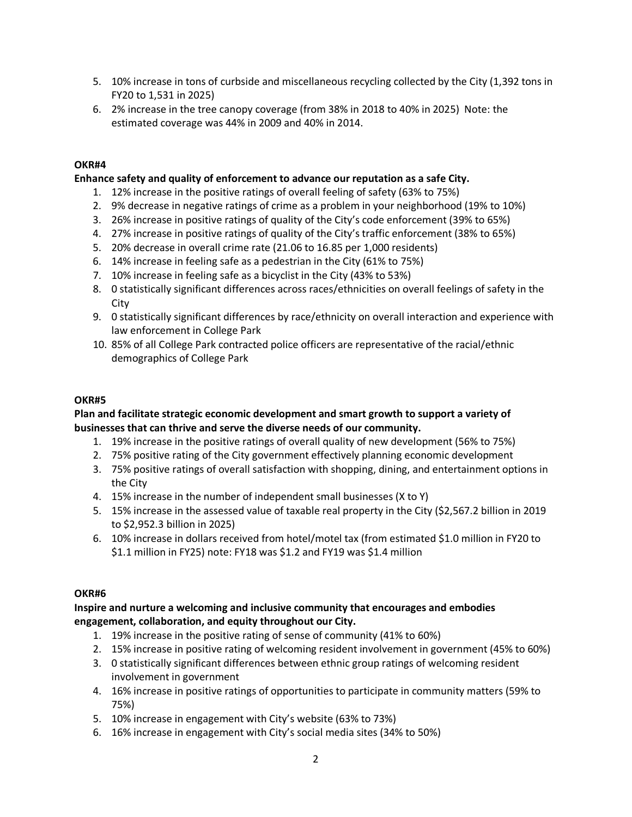- 5. 10% increase in tons of curbside and miscellaneous recycling collected by the City (1,392 tons in FY20 to 1,531 in 2025)
- 6. 2% increase in the tree canopy coverage (from 38% in 2018 to 40% in 2025) Note: the estimated coverage was 44% in 2009 and 40% in 2014.

## **OKR#4**

## **Enhance safety and quality of enforcement to advance our reputation as a safe City.**

- 1. 12% increase in the positive ratings of overall feeling of safety (63% to 75%)
- 2. 9% decrease in negative ratings of crime as a problem in your neighborhood (19% to 10%)
- 3. 26% increase in positive ratings of quality of the City's code enforcement (39% to 65%)
- 4. 27% increase in positive ratings of quality of the City's traffic enforcement (38% to 65%)
- 5. 20% decrease in overall crime rate (21.06 to 16.85 per 1,000 residents)
- 6. 14% increase in feeling safe as a pedestrian in the City (61% to 75%)
- 7. 10% increase in feeling safe as a bicyclist in the City (43% to 53%)
- 8. 0 statistically significant differences across races/ethnicities on overall feelings of safety in the City
- 9. 0 statistically significant differences by race/ethnicity on overall interaction and experience with law enforcement in College Park
- 10. 85% of all College Park contracted police officers are representative of the racial/ethnic demographics of College Park

#### **OKR#5**

## **Plan and facilitate strategic economic development and smart growth to support a variety of businesses that can thrive and serve the diverse needs of our community.**

- 1. 19% increase in the positive ratings of overall quality of new development (56% to 75%)
- 2. 75% positive rating of the City government effectively planning economic development
- 3. 75% positive ratings of overall satisfaction with shopping, dining, and entertainment options in the City
- 4. 15% increase in the number of independent small businesses (X to Y)
- 5. 15% increase in the assessed value of taxable real property in the City (\$2,567.2 billion in 2019 to \$2,952.3 billion in 2025)
- 6. 10% increase in dollars received from hotel/motel tax (from estimated \$1.0 million in FY20 to \$1.1 million in FY25) note: FY18 was \$1.2 and FY19 was \$1.4 million

#### **OKR#6**

## **Inspire and nurture a welcoming and inclusive community that encourages and embodies engagement, collaboration, and equity throughout our City.**

- 1. 19% increase in the positive rating of sense of community (41% to 60%)
- 2. 15% increase in positive rating of welcoming resident involvement in government (45% to 60%)
- 3. 0 statistically significant differences between ethnic group ratings of welcoming resident involvement in government
- 4. 16% increase in positive ratings of opportunities to participate in community matters (59% to 75%)
- 5. 10% increase in engagement with City's website (63% to 73%)
- 6. 16% increase in engagement with City's social media sites (34% to 50%)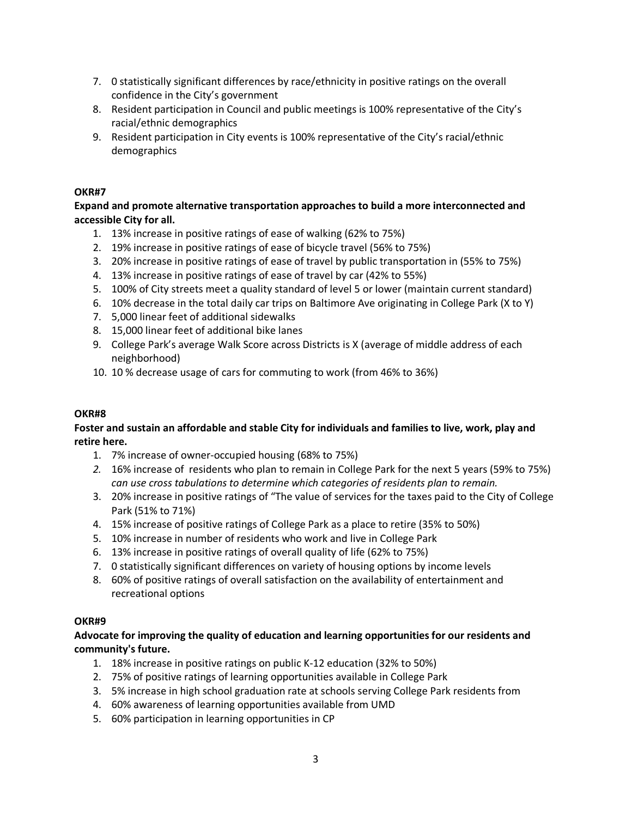- 7. 0 statistically significant differences by race/ethnicity in positive ratings on the overall confidence in the City's government
- 8. Resident participation in Council and public meetings is 100% representative of the City's racial/ethnic demographics
- 9. Resident participation in City events is 100% representative of the City's racial/ethnic demographics

## **OKR#7**

**Expand and promote alternative transportation approaches to build a more interconnected and accessible City for all.**

- 1. 13% increase in positive ratings of ease of walking (62% to 75%)
- 2. 19% increase in positive ratings of ease of bicycle travel (56% to 75%)
- 3. 20% increase in positive ratings of ease of travel by public transportation in (55% to 75%)
- 4. 13% increase in positive ratings of ease of travel by car (42% to 55%)
- 5. 100% of City streets meet a quality standard of level 5 or lower (maintain current standard)
- 6. 10% decrease in the total daily car trips on Baltimore Ave originating in College Park (X to Y)
- 7. 5,000 linear feet of additional sidewalks
- 8. 15,000 linear feet of additional bike lanes
- 9. College Park's average Walk Score across Districts is X (average of middle address of each neighborhood)
- 10. 10 % decrease usage of cars for commuting to work (from 46% to 36%)

## **OKR#8**

## **Foster and sustain an affordable and stable City for individuals and families to live, work, play and retire here.**

- 1. 7% increase of owner-occupied housing (68% to 75%)
- *2.* 16% increase of residents who plan to remain in College Park for the next 5 years (59% to 75%) *can use cross tabulations to determine which categories of residents plan to remain.*
- 3. 20% increase in positive ratings of "The value of services for the taxes paid to the City of College Park (51% to 71%)
- 4. 15% increase of positive ratings of College Park as a place to retire (35% to 50%)
- 5. 10% increase in number of residents who work and live in College Park
- 6. 13% increase in positive ratings of overall quality of life (62% to 75%)
- 7. 0 statistically significant differences on variety of housing options by income levels
- 8. 60% of positive ratings of overall satisfaction on the availability of entertainment and recreational options

## **OKR#9**

**Advocate for improving the quality of education and learning opportunities for our residents and community's future.**

- 1. 18% increase in positive ratings on public K-12 education (32% to 50%)
- 2. 75% of positive ratings of learning opportunities available in College Park
- 3. 5% increase in high school graduation rate at schools serving College Park residents from
- 4. 60% awareness of learning opportunities available from UMD
- 5. 60% participation in learning opportunities in CP